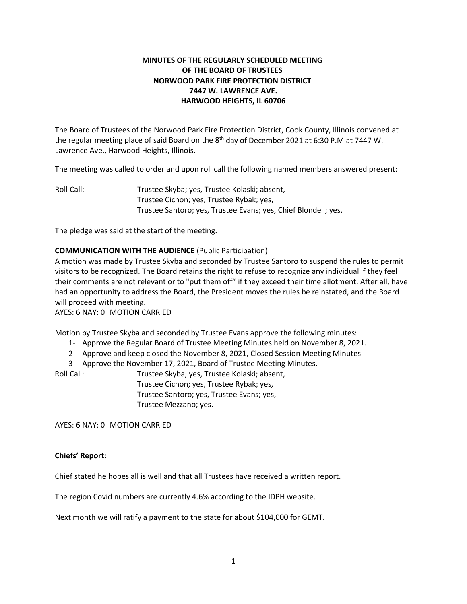# **MINUTES OF THE REGULARLY SCHEDULED MEETING OF THE BOARD OF TRUSTEES NORWOOD PARK FIRE PROTECTION DISTRICT 7447 W. LAWRENCE AVE. HARWOOD HEIGHTS, IL 60706**

The Board of Trustees of the Norwood Park Fire Protection District, Cook County, Illinois convened at the regular meeting place of said Board on the 8<sup>th</sup> day of December 2021 at 6:30 P.M at 7447 W. Lawrence Ave., Harwood Heights, Illinois.

The meeting was called to order and upon roll call the following named members answered present:

Roll Call: Trustee Skyba; yes, Trustee Kolaski; absent, Trustee Cichon; yes, Trustee Rybak; yes, Trustee Santoro; yes, Trustee Evans; yes, Chief Blondell; yes.

The pledge was said at the start of the meeting.

## **COMMUNICATION WITH THE AUDIENCE** (Public Participation)

A motion was made by Trustee Skyba and seconded by Trustee Santoro to suspend the rules to permit visitors to be recognized. The Board retains the right to refuse to recognize any individual if they feel their comments are not relevant or to "put them off" if they exceed their time allotment. After all, have had an opportunity to address the Board, the President moves the rules be reinstated, and the Board will proceed with meeting.

AYES: 6 NAY: 0 MOTION CARRIED

Motion by Trustee Skyba and seconded by Trustee Evans approve the following minutes:

- 1- Approve the Regular Board of Trustee Meeting Minutes held on November 8, 2021.
- 2- Approve and keep closed the November 8, 2021, Closed Session Meeting Minutes
- 3- Approve the November 17, 2021, Board of Trustee Meeting Minutes.

Roll Call: Trustee Skyba; yes, Trustee Kolaski; absent, Trustee Cichon; yes, Trustee Rybak; yes, Trustee Santoro; yes, Trustee Evans; yes, Trustee Mezzano; yes.

AYES: 6 NAY: 0 MOTION CARRIED

## **Chiefs' Report:**

Chief stated he hopes all is well and that all Trustees have received a written report.

The region Covid numbers are currently 4.6% according to the IDPH website.

Next month we will ratify a payment to the state for about \$104,000 for GEMT.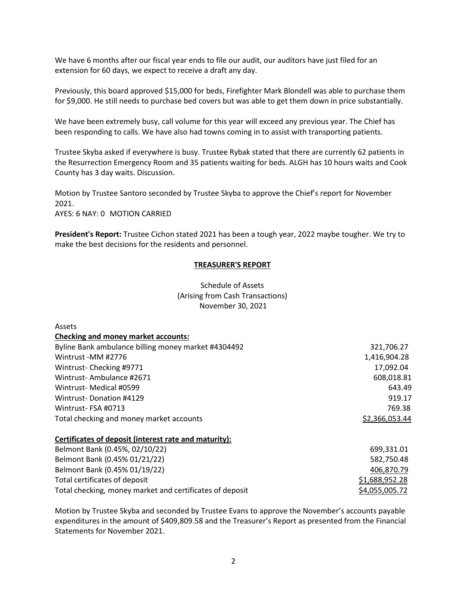We have 6 months after our fiscal year ends to file our audit, our auditors have just filed for an extension for 60 days, we expect to receive a draft any day.

Previously, this board approved \$15,000 for beds, Firefighter Mark Blondell was able to purchase them for \$9,000. He still needs to purchase bed covers but was able to get them down in price substantially.

We have been extremely busy, call volume for this year will exceed any previous year. The Chief has been responding to calls. We have also had towns coming in to assist with transporting patients.

Trustee Skyba asked if everywhere is busy. Trustee Rybak stated that there are currently 62 patients in the Resurrection Emergency Room and 35 patients waiting for beds. ALGH has 10 hours waits and Cook County has 3 day waits. Discussion.

Motion by Trustee Santoro seconded by Trustee Skyba to approve the Chief's report for November 2021.

AYES: 6 NAY: 0 MOTION CARRIED

Assets

**President's Report:** Trustee Cichon stated 2021 has been a tough year, 2022 maybe tougher. We try to make the best decisions for the residents and personnel.

#### **TREASURER'S REPORT**

Schedule of Assets (Arising from Cash Transactions) November 30, 2021

| AJJELJ                                                |                |
|-------------------------------------------------------|----------------|
| <b>Checking and money market accounts:</b>            |                |
| Byline Bank ambulance billing money market #4304492   | 321,706.27     |
| Wintrust -MM #2776                                    | 1,416,904.28   |
| Wintrust-Checking #9771                               | 17,092.04      |
| Wintrust-Ambulance #2671                              | 608,018.81     |
| Wintrust- Medical #0599                               | 643.49         |
| <b>Wintrust-Donation #4129</b>                        | 919.17         |
| Wintrust-FSA #0713                                    | 769.38         |
| Total checking and money market accounts              | \$2,366,053.44 |
| Certificates of deposit (interest rate and maturity): |                |
| Belmont Bank (0.45%, 02/10/22)                        | 699,331.01     |
| Belmont Bank (0.45% 01/21/22)                         | 582,750.48     |
| Belmont Bank (0.45% 01/19/22)                         | 406,870.79     |

Motion by Trustee Skyba and seconded by Trustee Evans to approve the November's accounts payable expenditures in the amount of \$409,809.58 and the Treasurer's Report as presented from the Financial Statements for November 2021.

Total certificates of deposit **1.688,952.28** and the state of deposit **51,688,952.28** Total checking, money market and certificates of deposit  $\frac{$4,055,005.72}{2}$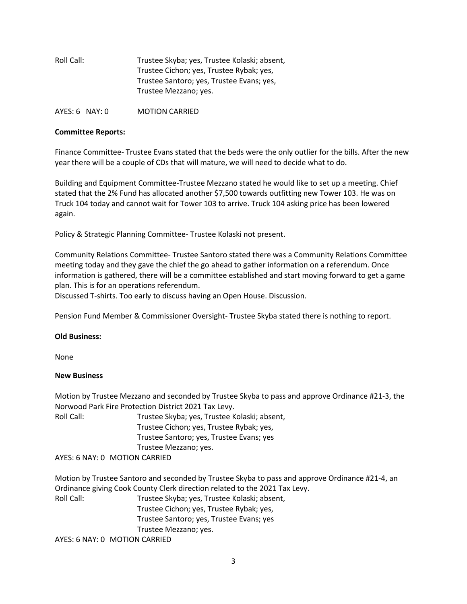| Roll Call: | Trustee Skyba; yes, Trustee Kolaski; absent, |
|------------|----------------------------------------------|
|            | Trustee Cichon; yes, Trustee Rybak; yes,     |
|            | Trustee Santoro; yes, Trustee Evans; yes,    |
|            | Trustee Mezzano; yes.                        |
|            |                                              |

AYES: 6 NAY: 0 MOTION CARRIED

### **Committee Reports:**

Finance Committee- Trustee Evans stated that the beds were the only outlier for the bills. After the new year there will be a couple of CDs that will mature, we will need to decide what to do.

Building and Equipment Committee-Trustee Mezzano stated he would like to set up a meeting. Chief stated that the 2% Fund has allocated another \$7,500 towards outfitting new Tower 103. He was on Truck 104 today and cannot wait for Tower 103 to arrive. Truck 104 asking price has been lowered again.

Policy & Strategic Planning Committee- Trustee Kolaski not present.

Community Relations Committee- Trustee Santoro stated there was a Community Relations Committee meeting today and they gave the chief the go ahead to gather information on a referendum. Once information is gathered, there will be a committee established and start moving forward to get a game plan. This is for an operations referendum.

Discussed T-shirts. Too early to discuss having an Open House. Discussion.

Pension Fund Member & Commissioner Oversight- Trustee Skyba stated there is nothing to report.

### **Old Business:**

None

## **New Business**

Motion by Trustee Mezzano and seconded by Trustee Skyba to pass and approve Ordinance #21-3, the Norwood Park Fire Protection District 2021 Tax Levy.

Roll Call: Trustee Skyba; yes, Trustee Kolaski; absent, Trustee Cichon; yes, Trustee Rybak; yes, Trustee Santoro; yes, Trustee Evans; yes Trustee Mezzano; yes. AYES: 6 NAY: 0 MOTION CARRIED

Motion by Trustee Santoro and seconded by Trustee Skyba to pass and approve Ordinance #21-4, an Ordinance giving Cook County Clerk direction related to the 2021 Tax Levy.

Roll Call: Trustee Skyba; yes, Trustee Kolaski; absent, Trustee Cichon; yes, Trustee Rybak; yes, Trustee Santoro; yes, Trustee Evans; yes Trustee Mezzano; yes.

AYES: 6 NAY: 0 MOTION CARRIED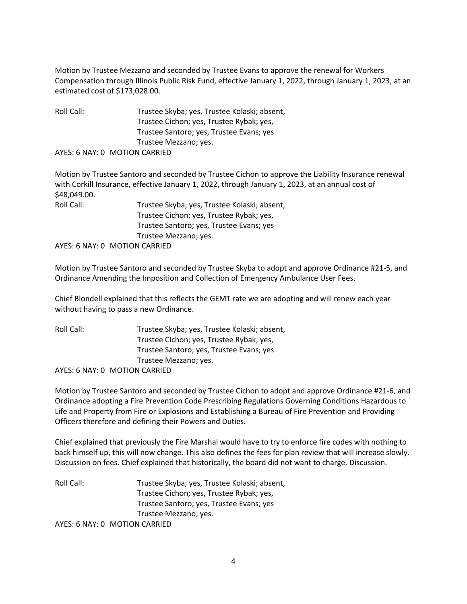Motion by Trustee Mezzano and seconded by Trustee Evans to approve the renewal for Workers Compensation through Illinois Public Risk Fund, effective January 1, 2022, through January 1, 2023, at an estimated cost of \$173,028.00.

Roll Call: Trustee Skyba; yes, Trustee Kolaski; absent, Trustee Cichon; yes, Trustee Rybak; yes, Trustee Santoro; yes, Trustee Evans; yes Trustee Mezzano; yes. AYES: 6 NAY: 0 MOTION CARRIED

Motion by Trustee Santoro and seconded by Trustee Cichon to approve the Liability Insurance renewal with Corkill Insurance, effective January 1, 2022, through January 1, 2023, at an annual cost of \$48,049.00.

Roll Call: Trustee Skyba; yes, Trustee Kolaski; absent, Trustee Cichon; yes, Trustee Rybak; yes, Trustee Santoro; yes, Trustee Evans; yes Trustee Mezzano; yes.

AYES: 6 NAY: 0 MOTION CARRIED

Motion by Trustee Santoro and seconded by Trustee Skyba to adopt and approve Ordinance #21-5, and Ordinance Amending the Imposition and Collection of Emergency Ambulance User Fees.

Chief Blondell explained that this reflects the GEMT rate we are adopting and will renew each year without having to pass a new Ordinance.

Roll Call: Trustee Skyba; yes, Trustee Kolaski; absent, Trustee Cichon; yes, Trustee Rybak; yes, Trustee Santoro; yes, Trustee Evans; yes Trustee Mezzano; yes. AYES: 6 NAY: 0 MOTION CARRIED

Motion by Trustee Santoro and seconded by Trustee Cichon to adopt and approve Ordinance #21-6, and Ordinance adopting a Fire Prevention Code Prescribing Regulations Governing Conditions Hazardous to Life and Property from Fire or Explosions and Establishing a Bureau of Fire Prevention and Providing Officers therefore and defining their Powers and Duties.

Chief explained that previously the Fire Marshal would have to try to enforce fire codes with nothing to back himself up, this will now change. This also defines the fees for plan review that will increase slowly. Discussion on fees. Chief explained that historically, the board did not want to charge. Discussion.

Roll Call: Trustee Skyba; yes, Trustee Kolaski; absent, Trustee Cichon; yes, Trustee Rybak; yes, Trustee Santoro; yes, Trustee Evans; yes Trustee Mezzano; yes. AYES: 6 NAY: 0 MOTION CARRIED